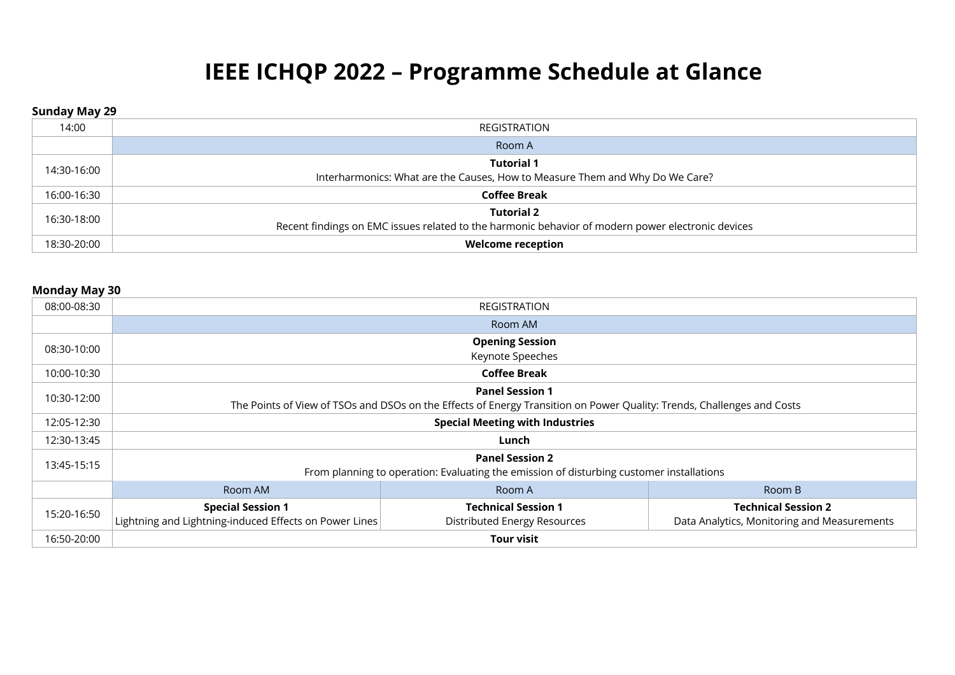# **IEEE ICHQP 2022 – Programme Schedule at Glance**

#### **Sunday May 29**

| 14:00       | REGISTRATION                                                                                                           |
|-------------|------------------------------------------------------------------------------------------------------------------------|
|             | Room A                                                                                                                 |
| 14:30-16:00 | <b>Tutorial 1</b><br>Interharmonics: What are the Causes, How to Measure Them and Why Do We Care?                      |
| 16:00-16:30 | <b>Coffee Break</b>                                                                                                    |
| 16:30-18:00 | <b>Tutorial 2</b><br>Recent findings on EMC issues related to the harmonic behavior of modern power electronic devices |
| 18:30-20:00 | <b>Welcome reception</b>                                                                                               |

#### **Monday May 30**

| 08:00-08:30 |                                                                                                                    | <b>REGISTRATION</b>                                                                                                                              |                                                                           |
|-------------|--------------------------------------------------------------------------------------------------------------------|--------------------------------------------------------------------------------------------------------------------------------------------------|---------------------------------------------------------------------------|
|             |                                                                                                                    | Room AM                                                                                                                                          |                                                                           |
| 08:30-10:00 |                                                                                                                    | <b>Opening Session</b><br>Keynote Speeches                                                                                                       |                                                                           |
| 10:00-10:30 | <b>Coffee Break</b>                                                                                                |                                                                                                                                                  |                                                                           |
| 10:30-12:00 |                                                                                                                    | <b>Panel Session 1</b><br>The Points of View of TSOs and DSOs on the Effects of Energy Transition on Power Quality: Trends, Challenges and Costs |                                                                           |
| 12:05-12:30 | <b>Special Meeting with Industries</b>                                                                             |                                                                                                                                                  |                                                                           |
| 12:30-13:45 | Lunch                                                                                                              |                                                                                                                                                  |                                                                           |
| 13:45-15:15 | <b>Panel Session 2</b><br>From planning to operation: Evaluating the emission of disturbing customer installations |                                                                                                                                                  |                                                                           |
|             | Room AM<br>Room A<br>Room B                                                                                        |                                                                                                                                                  |                                                                           |
| 15:20-16:50 | <b>Special Session 1</b><br>Lightning and Lightning-induced Effects on Power Lines                                 | <b>Technical Session 1</b><br>Distributed Energy Resources                                                                                       | <b>Technical Session 2</b><br>Data Analytics, Monitoring and Measurements |
| 16:50-20:00 |                                                                                                                    | <b>Tour visit</b>                                                                                                                                |                                                                           |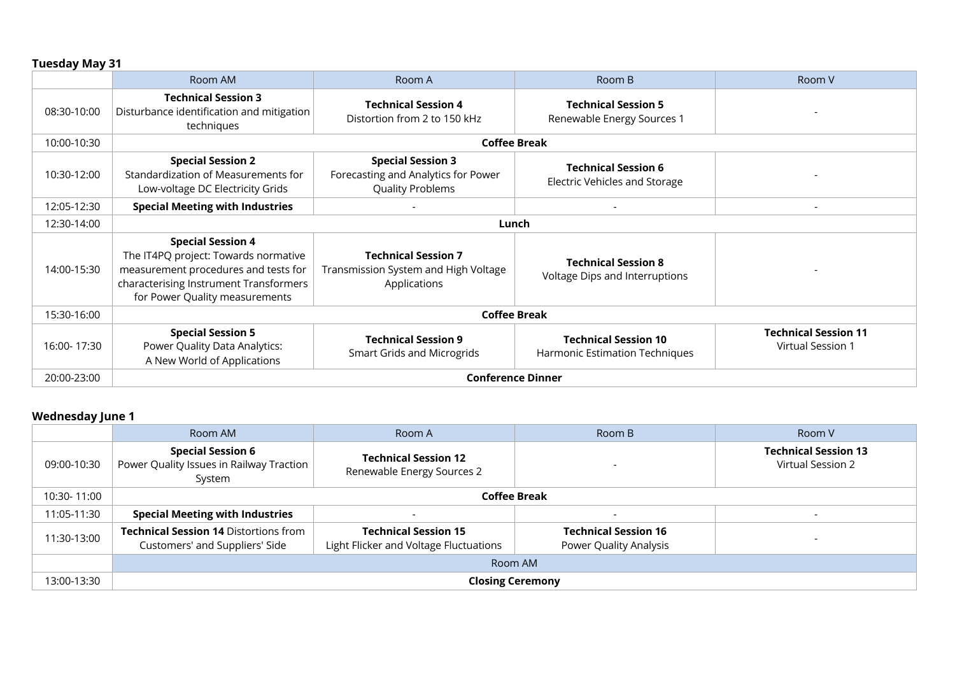|             | Room AM                                                                                                                                                                              | Room A                                                                                     | Room B                                                        | Room V                                           |
|-------------|--------------------------------------------------------------------------------------------------------------------------------------------------------------------------------------|--------------------------------------------------------------------------------------------|---------------------------------------------------------------|--------------------------------------------------|
| 08:30-10:00 | <b>Technical Session 3</b><br>Disturbance identification and mitigation<br>techniques                                                                                                | <b>Technical Session 4</b><br>Distortion from 2 to 150 kHz                                 | <b>Technical Session 5</b><br>Renewable Energy Sources 1      |                                                  |
| 10:00-10:30 |                                                                                                                                                                                      | <b>Coffee Break</b>                                                                        |                                                               |                                                  |
| 10:30-12:00 | <b>Special Session 2</b><br>Standardization of Measurements for<br>Low-voltage DC Electricity Grids                                                                                  | <b>Special Session 3</b><br>Forecasting and Analytics for Power<br><b>Quality Problems</b> | <b>Technical Session 6</b><br>Electric Vehicles and Storage   |                                                  |
| 12:05-12:30 | <b>Special Meeting with Industries</b>                                                                                                                                               |                                                                                            |                                                               | $\overline{\phantom{a}}$                         |
| 12:30-14:00 |                                                                                                                                                                                      | Lunch                                                                                      |                                                               |                                                  |
| 14:00-15:30 | <b>Special Session 4</b><br>The IT4PQ project: Towards normative<br>measurement procedures and tests for<br>characterising Instrument Transformers<br>for Power Quality measurements | <b>Technical Session 7</b><br>Transmission System and High Voltage<br>Applications         | <b>Technical Session 8</b><br>Voltage Dips and Interruptions  |                                                  |
| 15:30-16:00 | <b>Coffee Break</b>                                                                                                                                                                  |                                                                                            |                                                               |                                                  |
| 16:00-17:30 | <b>Special Session 5</b><br>Power Quality Data Analytics:<br>A New World of Applications                                                                                             | <b>Technical Session 9</b><br><b>Smart Grids and Microgrids</b>                            | <b>Technical Session 10</b><br>Harmonic Estimation Techniques | <b>Technical Session 11</b><br>Virtual Session 1 |
| 20:00-23:00 |                                                                                                                                                                                      | <b>Conference Dinner</b>                                                                   |                                                               |                                                  |

## **Wednesday June 1**

|             | Room AM                                                                          | Room A                                                                | Room B                                                | Room V                                           |
|-------------|----------------------------------------------------------------------------------|-----------------------------------------------------------------------|-------------------------------------------------------|--------------------------------------------------|
| 09:00-10:30 | <b>Special Session 6</b><br>Power Quality Issues in Railway Traction  <br>System | <b>Technical Session 12</b><br>Renewable Energy Sources 2             |                                                       | <b>Technical Session 13</b><br>Virtual Session 2 |
| 10:30-11:00 | <b>Coffee Break</b>                                                              |                                                                       |                                                       |                                                  |
| 11:05-11:30 | <b>Special Meeting with Industries</b>                                           | $\overline{\phantom{0}}$                                              |                                                       |                                                  |
| 11:30-13:00 | <b>Technical Session 14 Distortions from</b><br>Customers' and Suppliers' Side   | <b>Technical Session 15</b><br>Light Flicker and Voltage Fluctuations | <b>Technical Session 16</b><br>Power Quality Analysis |                                                  |
|             | Room AM                                                                          |                                                                       |                                                       |                                                  |
| 13:00-13:30 | <b>Closing Ceremony</b>                                                          |                                                                       |                                                       |                                                  |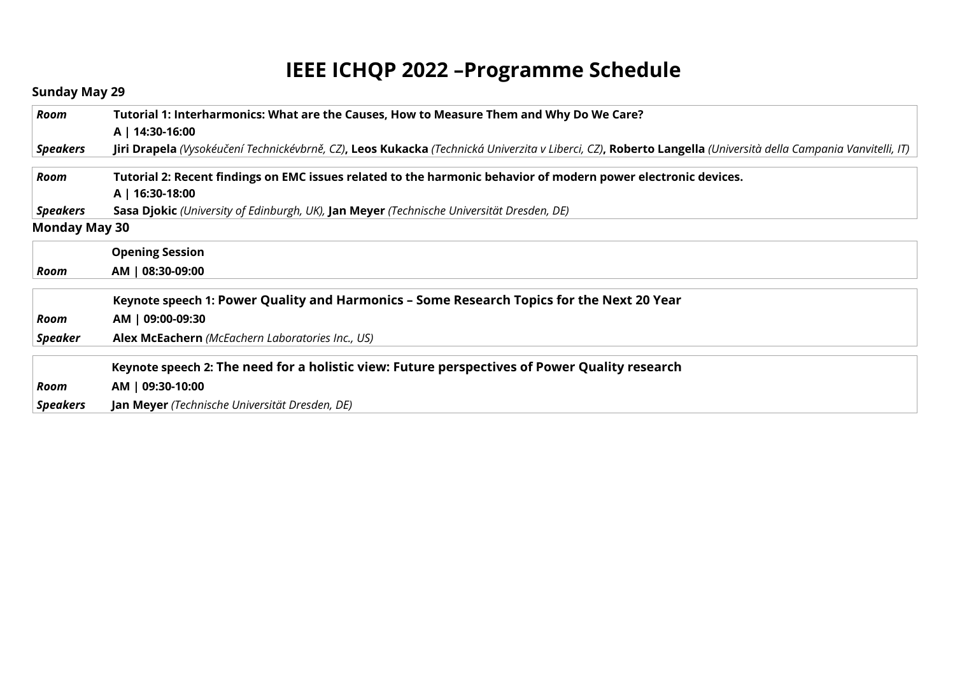# **IEEE ICHQP 2022 –Programme Schedule**

## **Sunday May 29**

| Room                 | Tutorial 1: Interharmonics: What are the Causes, How to Measure Them and Why Do We Care?                                                                      |
|----------------------|---------------------------------------------------------------------------------------------------------------------------------------------------------------|
|                      | A   14:30-16:00                                                                                                                                               |
| <b>Speakers</b>      | Jiri Drapela (Vysokéučení Technickévbrně, CZ), Leos Kukacka (Technická Univerzita v Liberci, CZ), Roberto Langella (Università della Campania Vanvitelli, IT) |
| Room                 | Tutorial 2: Recent findings on EMC issues related to the harmonic behavior of modern power electronic devices.                                                |
|                      | A   16:30-18:00                                                                                                                                               |
| <b>Speakers</b>      | Sasa Djokic (University of Edinburgh, UK), Jan Meyer (Technische Universität Dresden, DE)                                                                     |
| <b>Monday May 30</b> |                                                                                                                                                               |
|                      | <b>Opening Session</b>                                                                                                                                        |
| Room                 | AM   08:30-09:00                                                                                                                                              |
|                      | Keynote speech 1: Power Quality and Harmonics - Some Research Topics for the Next 20 Year                                                                     |
| Room                 | AM   09:00-09:30                                                                                                                                              |
| <b>Speaker</b>       | Alex McEachern (McEachern Laboratories Inc., US)                                                                                                              |
|                      | Keynote speech 2: The need for a holistic view: Future perspectives of Power Quality research                                                                 |
| Room                 | AM   09:30-10:00                                                                                                                                              |
| <b>Speakers</b>      | <b>Jan Meyer</b> (Technische Universität Dresden, DE)                                                                                                         |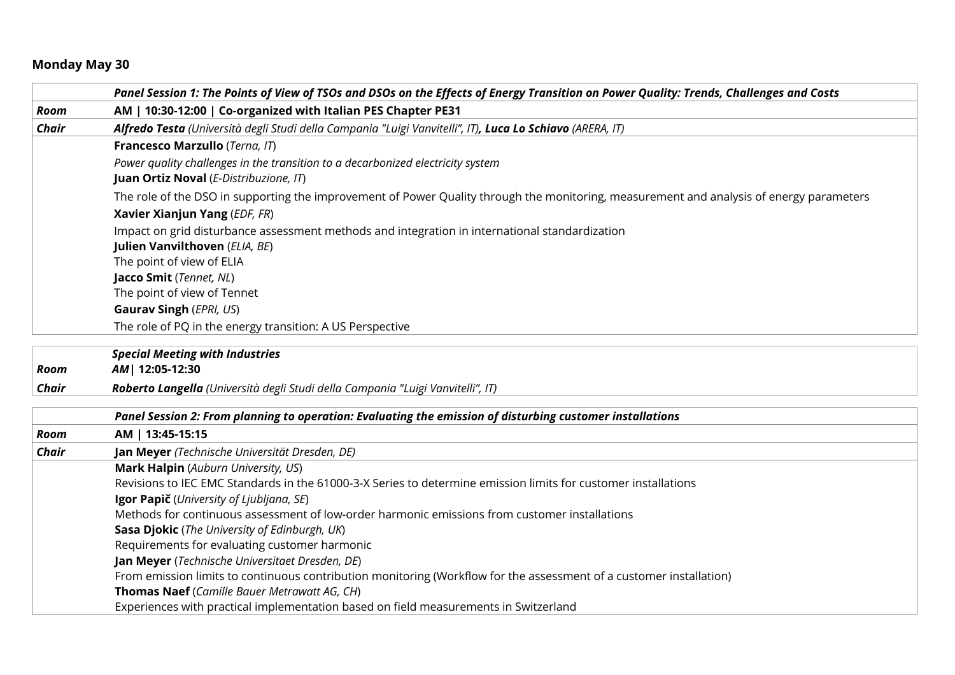# **Monday May 30**

|              | Panel Session 1: The Points of View of TSOs and DSOs on the Effects of Energy Transition on Power Quality: Trends, Challenges and Costs   |
|--------------|-------------------------------------------------------------------------------------------------------------------------------------------|
| Room         | AM   10:30-12:00   Co-organized with Italian PES Chapter PE31                                                                             |
| Chair        | Alfredo Testa (Università degli Studi della Campania "Luigi Vanvitelli", IT), Luca Lo Schiavo (ARERA, IT)                                 |
|              | Francesco Marzullo (Terna, IT)                                                                                                            |
|              | Power quality challenges in the transition to a decarbonized electricity system                                                           |
|              | Juan Ortiz Noval (E-Distribuzione, IT)                                                                                                    |
|              | The role of the DSO in supporting the improvement of Power Quality through the monitoring, measurement and analysis of energy parameters  |
|              | Xavier Xianjun Yang (EDF, FR)                                                                                                             |
|              | Impact on grid disturbance assessment methods and integration in international standardization                                            |
|              | Julien Vanvilthoven (ELIA, BE)                                                                                                            |
|              | The point of view of ELIA                                                                                                                 |
|              | Jacco Smit (Tennet, NL)                                                                                                                   |
|              | The point of view of Tennet                                                                                                               |
|              | <b>Gaurav Singh (EPRI, US)</b>                                                                                                            |
|              | The role of PQ in the energy transition: A US Perspective                                                                                 |
|              | <b>Special Meeting with Industries</b>                                                                                                    |
| Room         | AM   12:05-12:30                                                                                                                          |
| Chair        | Roberto Langella (Università degli Studi della Campania "Luigi Vanvitelli", IT)                                                           |
|              |                                                                                                                                           |
|              | Panel Session 2: From planning to operation: Evaluating the emission of disturbing customer installations                                 |
| Room         | AM   13:45-15:15                                                                                                                          |
| <b>Chair</b> | Jan Meyer (Technische Universität Dresden, DE)                                                                                            |
|              | Mark Halpin (Auburn University, US)                                                                                                       |
|              | Revisions to IEC EMC Standards in the 61000-3-X Series to determine emission limits for customer installations                            |
|              | Igor Papič (University of Ljubljana, SE)<br>Methods for continuous assessment of low-order harmonic emissions from customer installations |
|              | Sasa Djokic (The University of Edinburgh, UK)                                                                                             |
|              | Requirements for evaluating customer harmonic                                                                                             |
|              | Jan Meyer (Technische Universitaet Dresden, DE)                                                                                           |
|              | From emission limits to continuous contribution monitoring (Workflow for the assessment of a customer installation)                       |
|              | Thomas Naef (Camille Bauer Metrawatt AG, CH)                                                                                              |
|              | Experiences with practical implementation based on field measurements in Switzerland                                                      |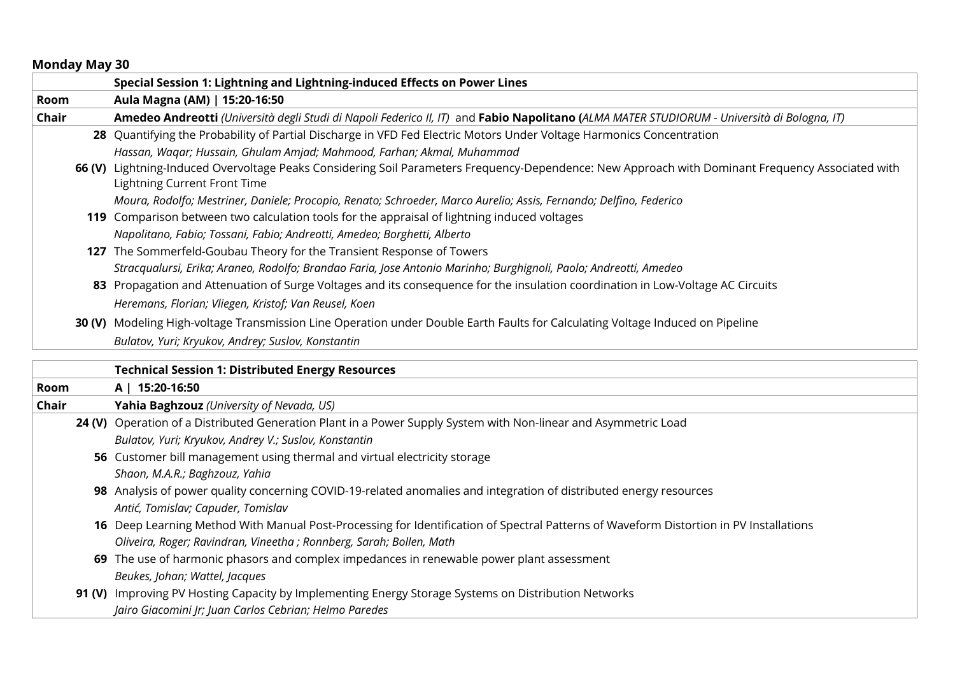#### **Monday May 30**

|              | Special Session 1: Lightning and Lightning-induced Effects on Power Lines                                                                                                         |
|--------------|-----------------------------------------------------------------------------------------------------------------------------------------------------------------------------------|
| Room         | Aula Magna (AM)   15:20-16:50                                                                                                                                                     |
| <b>Chair</b> | Amedeo Andreotti (Università degli Studi di Napoli Federico II, IT) and Fabio Napolitano (ALMA MATER STUDIORUM - Università di Bologna, IT)                                       |
|              | 28 Quantifying the Probability of Partial Discharge in VFD Fed Electric Motors Under Voltage Harmonics Concentration                                                              |
|              | Hassan, Waqar; Hussain, Ghulam Amjad; Mahmood, Farhan; Akmal, Muhammad                                                                                                            |
|              | 66 (V) Lightning-Induced Overvoltage Peaks Considering Soil Parameters Frequency-Dependence: New Approach with Dominant Frequency Associated with<br>Lightning Current Front Time |
|              | Moura, Rodolfo; Mestriner, Daniele; Procopio, Renato; Schroeder, Marco Aurelio; Assis, Fernando; Delfino, Federico                                                                |
|              | 119 Comparison between two calculation tools for the appraisal of lightning induced voltages                                                                                      |
|              | Napolitano, Fabio; Tossani, Fabio; Andreotti, Amedeo; Borghetti, Alberto                                                                                                          |
|              | 127 The Sommerfeld-Goubau Theory for the Transient Response of Towers                                                                                                             |
|              | Stracqualursi, Erika; Araneo, Rodolfo; Brandao Faria, Jose Antonio Marinho; Burghignoli, Paolo; Andreotti, Amedeo                                                                 |
|              | 83 Propagation and Attenuation of Surge Voltages and its consequence for the insulation coordination in Low-Voltage AC Circuits                                                   |
|              | Heremans, Florian; Vliegen, Kristof; Van Reusel, Koen                                                                                                                             |
|              | 30 (V) Modeling High-voltage Transmission Line Operation under Double Earth Faults for Calculating Voltage Induced on Pipeline                                                    |
|              | Bulatov, Yuri; Kryukov, Andrey; Suslov, Konstantin                                                                                                                                |
|              |                                                                                                                                                                                   |
|              | <b>Technical Session 1: Distributed Energy Resources</b>                                                                                                                          |
| Room         | A   15:20-16:50                                                                                                                                                                   |
| Chair        | Yahia Baghzouz (University of Nevada, US)                                                                                                                                         |
|              | 24 (V) Operation of a Distributed Generation Plant in a Power Supply System with Non-linear and Asymmetric Load                                                                   |
|              | Bulatov, Yuri; Kryukov, Andrey V.; Suslov, Konstantin                                                                                                                             |
|              | 56 Customer bill management using thermal and virtual electricity storage                                                                                                         |
|              | Shaon, M.A.R.; Baghzouz, Yahia                                                                                                                                                    |
|              | 98 Analysis of power quality concerning COVID-19-related anomalies and integration of distributed energy resources                                                                |
|              | Antić, Tomislav; Capuder, Tomislav                                                                                                                                                |

**16** Deep Learning Method With Manual Post-Processing for Identification of Spectral Patterns of Waveform Distortion in PV Installations *Oliveira, Roger; Ravindran, Vineetha ; Ronnberg, Sarah; Bollen, Math*

**69** The use of harmonic phasors and complex impedances in renewable power plant assessment *Beukes, Johan; Wattel, Jacques*

**91 (V)** Improving PV Hosting Capacity by Implementing Energy Storage Systems on Distribution Networks *Jairo Giacomini Jr; Juan Carlos Cebrian; Helmo Paredes*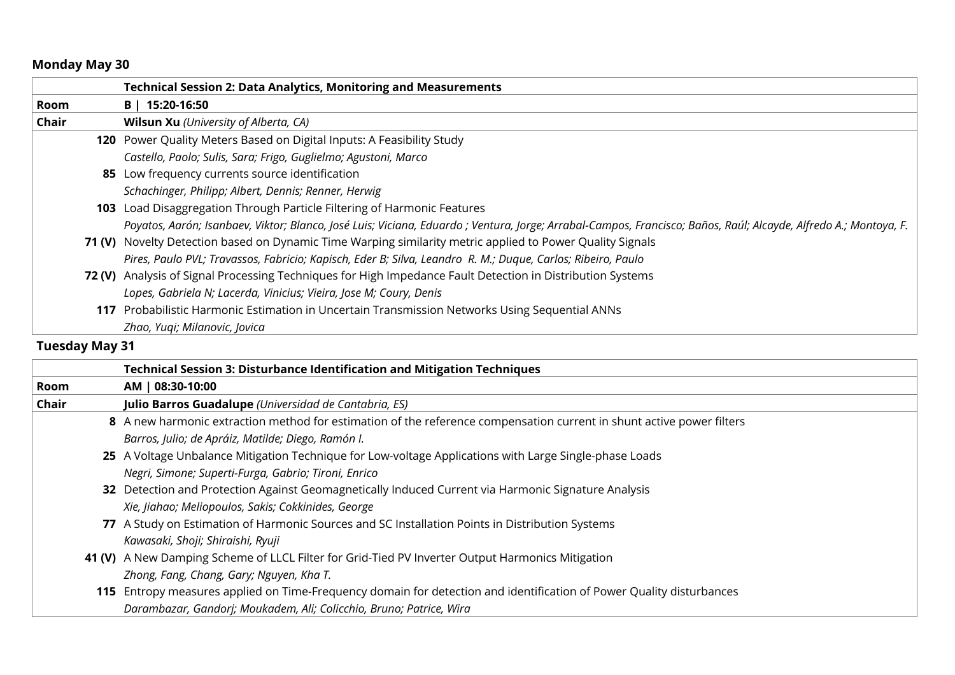## **Monday May 30**

|       | <b>Technical Session 2: Data Analytics, Monitoring and Measurements</b>                                                                                          |
|-------|------------------------------------------------------------------------------------------------------------------------------------------------------------------|
| Room  | B   15:20-16:50                                                                                                                                                  |
| Chair | <b>Wilsun Xu</b> (University of Alberta, CA)                                                                                                                     |
|       | 120 Power Quality Meters Based on Digital Inputs: A Feasibility Study                                                                                            |
|       | Castello, Paolo; Sulis, Sara; Frigo, Guglielmo; Agustoni, Marco                                                                                                  |
|       | 85 Low frequency currents source identification                                                                                                                  |
|       | Schachinger, Philipp; Albert, Dennis; Renner, Herwig                                                                                                             |
|       | 103 Load Disaggregation Through Particle Filtering of Harmonic Features                                                                                          |
|       | Poyatos, Aarón; Isanbaev, Viktor; Blanco, José Luis; Viciana, Eduardo ; Ventura, Jorge; Arrabal-Campos, Francisco; Baños, Raúl; Alcayde, Alfredo A.; Montoya, F. |
|       | 71 (V) Novelty Detection based on Dynamic Time Warping similarity metric applied to Power Quality Signals                                                        |
|       | Pires, Paulo PVL; Travassos, Fabricio; Kapisch, Eder B; Silva, Leandro R. M.; Duque, Carlos; Ribeiro, Paulo                                                      |
|       | 72 (V) Analysis of Signal Processing Techniques for High Impedance Fault Detection in Distribution Systems                                                       |
|       | Lopes, Gabriela N; Lacerda, Vinicius; Vieira, Jose M; Coury, Denis                                                                                               |
|       | 117 Probabilistic Harmonic Estimation in Uncertain Transmission Networks Using Sequential ANNs                                                                   |
|       | Zhao, Yuqi; Milanovic, Jovica                                                                                                                                    |
|       |                                                                                                                                                                  |

|       | <b>Technical Session 3: Disturbance Identification and Mitigation Techniques</b>                                      |
|-------|-----------------------------------------------------------------------------------------------------------------------|
| Room  | AM   08:30-10:00                                                                                                      |
| Chair | Julio Barros Guadalupe (Universidad de Cantabria, ES)                                                                 |
|       | 8 A new harmonic extraction method for estimation of the reference compensation current in shunt active power filters |
|       | Barros, Julio; de Apráiz, Matilde; Diego, Ramón I.                                                                    |
|       | 25 A Voltage Unbalance Mitigation Technique for Low-voltage Applications with Large Single-phase Loads                |
|       | Negri, Simone; Superti-Furga, Gabrio; Tironi, Enrico                                                                  |
|       | 32 Detection and Protection Against Geomagnetically Induced Current via Harmonic Signature Analysis                   |
|       | Xie, Jiahao; Meliopoulos, Sakis; Cokkinides, George                                                                   |
|       | 77 A Study on Estimation of Harmonic Sources and SC Installation Points in Distribution Systems                       |
|       | Kawasaki, Shoji; Shiraishi, Ryuji                                                                                     |
|       | 41 (V) A New Damping Scheme of LLCL Filter for Grid-Tied PV Inverter Output Harmonics Mitigation                      |
|       | Zhong, Fang, Chang, Gary; Nguyen, Kha T.                                                                              |
|       | 115 Entropy measures applied on Time-Frequency domain for detection and identification of Power Quality disturbances  |
|       | Darambazar, Gandorj; Moukadem, Ali; Colicchio, Bruno; Patrice, Wira                                                   |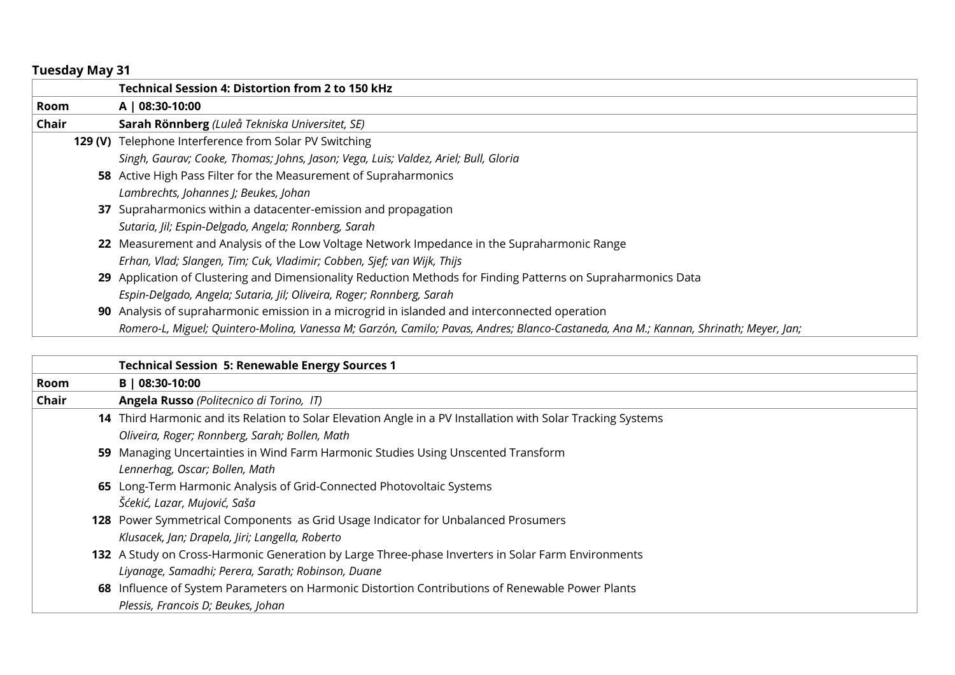|       | <b>Technical Session 4: Distortion from 2 to 150 kHz</b>                                                                             |
|-------|--------------------------------------------------------------------------------------------------------------------------------------|
| Room  | A   08:30-10:00                                                                                                                      |
| Chair | Sarah Rönnberg (Luleå Tekniska Universitet, SE)                                                                                      |
|       | 129 (V) Telephone Interference from Solar PV Switching                                                                               |
|       | Singh, Gaurav; Cooke, Thomas; Johns, Jason; Vega, Luis; Valdez, Ariel; Bull, Gloria                                                  |
|       | 58 Active High Pass Filter for the Measurement of Supraharmonics                                                                     |
|       | Lambrechts, Johannes J; Beukes, Johan                                                                                                |
|       | 37 Supraharmonics within a datacenter-emission and propagation                                                                       |
|       | Sutaria, Jil; Espin-Delgado, Angela; Ronnberg, Sarah                                                                                 |
|       | 22 Measurement and Analysis of the Low Voltage Network Impedance in the Supraharmonic Range                                          |
|       | Erhan, Vlad; Slangen, Tim; Cuk, Vladimir; Cobben, Sjef; van Wijk, Thijs                                                              |
|       | 29 Application of Clustering and Dimensionality Reduction Methods for Finding Patterns on Supraharmonics Data                        |
|       | Espin-Delgado, Angela; Sutaria, Jil; Oliveira, Roger; Ronnberg, Sarah                                                                |
|       | 90 Analysis of supraharmonic emission in a microgrid in islanded and interconnected operation                                        |
|       | Romero-L, Miguel; Quintero-Molina, Vanessa M; Garzón, Camilo; Pavas, Andres; Blanco-Castaneda, Ana M.; Kannan, Shrinath; Meyer, Jan; |

|       | <b>Technical Session 5: Renewable Energy Sources 1</b>                                                       |
|-------|--------------------------------------------------------------------------------------------------------------|
| Room  | B   08:30-10:00                                                                                              |
| Chair | Angela Russo (Politecnico di Torino, IT)                                                                     |
|       | 14 Third Harmonic and its Relation to Solar Elevation Angle in a PV Installation with Solar Tracking Systems |
|       | Oliveira, Roger; Ronnberg, Sarah; Bollen, Math                                                               |
|       | 59 Managing Uncertainties in Wind Farm Harmonic Studies Using Unscented Transform                            |
|       | Lennerhag, Oscar; Bollen, Math                                                                               |
|       | 65 Long-Term Harmonic Analysis of Grid-Connected Photovoltaic Systems                                        |
|       | Šćekić, Lazar, Mujović, Saša                                                                                 |
|       | 128 Power Symmetrical Components as Grid Usage Indicator for Unbalanced Prosumers                            |
|       | Klusacek, Jan; Drapela, Jiri; Langella, Roberto                                                              |
|       | 132 A Study on Cross-Harmonic Generation by Large Three-phase Inverters in Solar Farm Environments           |
|       | Liyanage, Samadhi; Perera, Sarath; Robinson, Duane                                                           |
|       | 68 Influence of System Parameters on Harmonic Distortion Contributions of Renewable Power Plants             |
|       | Plessis, Francois D; Beukes, Johan                                                                           |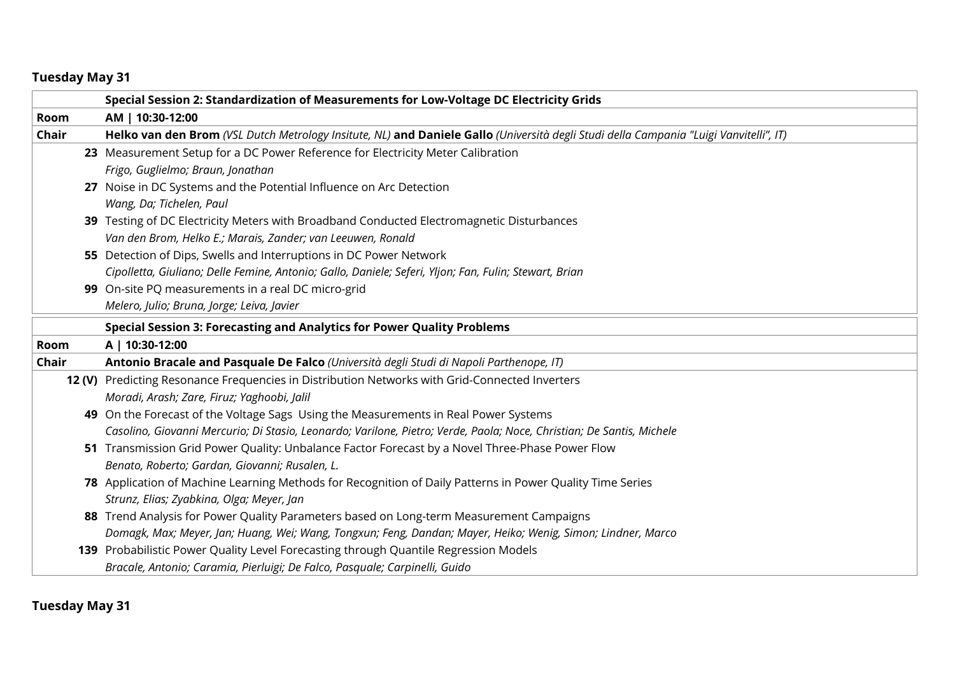|             | Special Session 2: Standardization of Measurements for Low-Voltage DC Electricity Grids                                                |
|-------------|----------------------------------------------------------------------------------------------------------------------------------------|
| Room        | AM   10:30-12:00                                                                                                                       |
| Chair       | Helko van den Brom (VSL Dutch Metrology Insitute, NL) and Daniele Gallo (Università degli Studi della Campania "Luigi Vanvitelli", IT) |
|             | 23 Measurement Setup for a DC Power Reference for Electricity Meter Calibration                                                        |
|             | Frigo, Guglielmo; Braun, Jonathan                                                                                                      |
|             | 27 Noise in DC Systems and the Potential Influence on Arc Detection                                                                    |
|             | Wang, Da; Tichelen, Paul                                                                                                               |
|             | 39 Testing of DC Electricity Meters with Broadband Conducted Electromagnetic Disturbances                                              |
|             | Van den Brom, Helko E.; Marais, Zander; van Leeuwen, Ronald                                                                            |
|             | 55 Detection of Dips, Swells and Interruptions in DC Power Network                                                                     |
|             | Cipolletta, Giuliano; Delle Femine, Antonio; Gallo, Daniele; Seferi, Yljon; Fan, Fulin; Stewart, Brian                                 |
|             | 99 On-site PQ measurements in a real DC micro-grid                                                                                     |
|             | Melero, Julio; Bruna, Jorge; Leiva, Javier                                                                                             |
|             | Special Session 3: Forecasting and Analytics for Power Quality Problems                                                                |
| <b>Room</b> | A   10:30-12:00                                                                                                                        |
| Chair       | Antonio Bracale and Pasquale De Falco (Università degli Studi di Napoli Parthenope, IT)                                                |
|             | 12 (V) Predicting Resonance Frequencies in Distribution Networks with Grid-Connected Inverters                                         |
|             | Moradi, Arash; Zare, Firuz; Yaghoobi, Jalil                                                                                            |
|             | 49 On the Forecast of the Voltage Sags Using the Measurements in Real Power Systems                                                    |
|             | Casolino, Giovanni Mercurio; Di Stasio, Leonardo; Varilone, Pietro; Verde, Paola; Noce, Christian; De Santis, Michele                  |
|             | 51 Transmission Grid Power Quality: Unbalance Factor Forecast by a Novel Three-Phase Power Flow                                        |
|             | Benato, Roberto; Gardan, Giovanni; Rusalen, L.                                                                                         |
|             | 78 Application of Machine Learning Methods for Recognition of Daily Patterns in Power Quality Time Series                              |
|             | Strunz, Elias; Zyabkina, Olga; Meyer, Jan                                                                                              |
|             | 88 Trend Analysis for Power Quality Parameters based on Long-term Measurement Campaigns                                                |
|             | Domagk, Max; Meyer, Jan; Huang, Wei; Wang, Tongxun; Feng, Dandan; Mayer, Heiko; Wenig, Simon; Lindner, Marco                           |
|             | 139 Probabilistic Power Quality Level Forecasting through Quantile Regression Models                                                   |
|             | Bracale, Antonio; Caramia, Pierluigi; De Falco, Pasquale; Carpinelli, Guido                                                            |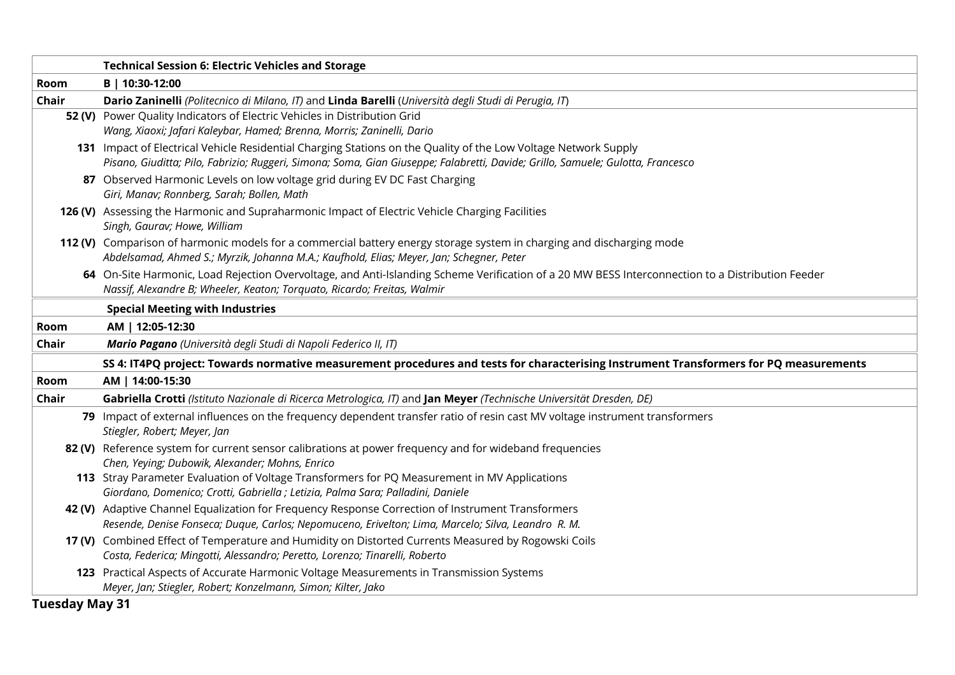|       | <b>Technical Session 6: Electric Vehicles and Storage</b>                                                                                                                                                                                          |
|-------|----------------------------------------------------------------------------------------------------------------------------------------------------------------------------------------------------------------------------------------------------|
| Room  | B   10:30-12:00                                                                                                                                                                                                                                    |
| Chair | Dario Zaninelli (Politecnico di Milano, IT) and Linda Barelli (Università degli Studi di Perugia, IT)                                                                                                                                              |
|       | 52 (V) Power Quality Indicators of Electric Vehicles in Distribution Grid<br>Wang, Xiaoxi; Jafari Kaleybar, Hamed; Brenna, Morris; Zaninelli, Dario                                                                                                |
|       | 131 Impact of Electrical Vehicle Residential Charging Stations on the Quality of the Low Voltage Network Supply<br>Pisano, Giuditta; Pilo, Fabrizio; Ruggeri, Simona; Soma, Gian Giuseppe; Falabretti, Davide; Grillo, Samuele; Gulotta, Francesco |
|       | 87 Observed Harmonic Levels on low voltage grid during EV DC Fast Charging<br>Giri, Manav; Ronnberg, Sarah; Bollen, Math                                                                                                                           |
|       | 126 (V) Assessing the Harmonic and Supraharmonic Impact of Electric Vehicle Charging Facilities<br>Singh, Gaurav; Howe, William                                                                                                                    |
|       | 112 (V) Comparison of harmonic models for a commercial battery energy storage system in charging and discharging mode<br>Abdelsamad, Ahmed S.; Myrzik, Johanna M.A.; Kaufhold, Elias; Meyer, Jan; Schegner, Peter                                  |
|       | 64 On-Site Harmonic, Load Rejection Overvoltage, and Anti-Islanding Scheme Verification of a 20 MW BESS Interconnection to a Distribution Feeder<br>Nassif, Alexandre B; Wheeler, Keaton; Torquato, Ricardo; Freitas, Walmir                       |
|       | <b>Special Meeting with Industries</b>                                                                                                                                                                                                             |
| Room  | AM   12:05-12:30                                                                                                                                                                                                                                   |
| Chair | Mario Pagano (Università degli Studi di Napoli Federico II, IT)                                                                                                                                                                                    |
|       | SS 4: IT4PQ project: Towards normative measurement procedures and tests for characterising Instrument Transformers for PQ measurements                                                                                                             |
| Room  | AM   14:00-15:30                                                                                                                                                                                                                                   |
| Chair | Gabriella Crotti (Istituto Nazionale di Ricerca Metrologica, IT) and Jan Meyer (Technische Universität Dresden, DE)                                                                                                                                |
|       | 79 Impact of external influences on the frequency dependent transfer ratio of resin cast MV voltage instrument transformers<br>Stiegler, Robert; Meyer, Jan                                                                                        |
|       | 82 (V) Reference system for current sensor calibrations at power frequency and for wideband frequencies<br>Chen, Yeying; Dubowik, Alexander; Mohns, Enrico                                                                                         |
|       | 113 Stray Parameter Evaluation of Voltage Transformers for PQ Measurement in MV Applications<br>Giordano, Domenico; Crotti, Gabriella ; Letizia, Palma Sara; Palladini, Daniele                                                                    |
|       | 42 (V) Adaptive Channel Equalization for Frequency Response Correction of Instrument Transformers<br>Resende, Denise Fonseca; Duque, Carlos; Nepomuceno, Erivelton; Lima, Marcelo; Silva, Leandro R. M.                                            |
|       | 17 (V) Combined Effect of Temperature and Humidity on Distorted Currents Measured by Rogowski Coils<br>Costa, Federica; Mingotti, Alessandro; Peretto, Lorenzo; Tinarelli, Roberto                                                                 |
|       | 123 Practical Aspects of Accurate Harmonic Voltage Measurements in Transmission Systems<br>Meyer, Jan; Stiegler, Robert; Konzelmann, Simon; Kilter, Jako                                                                                           |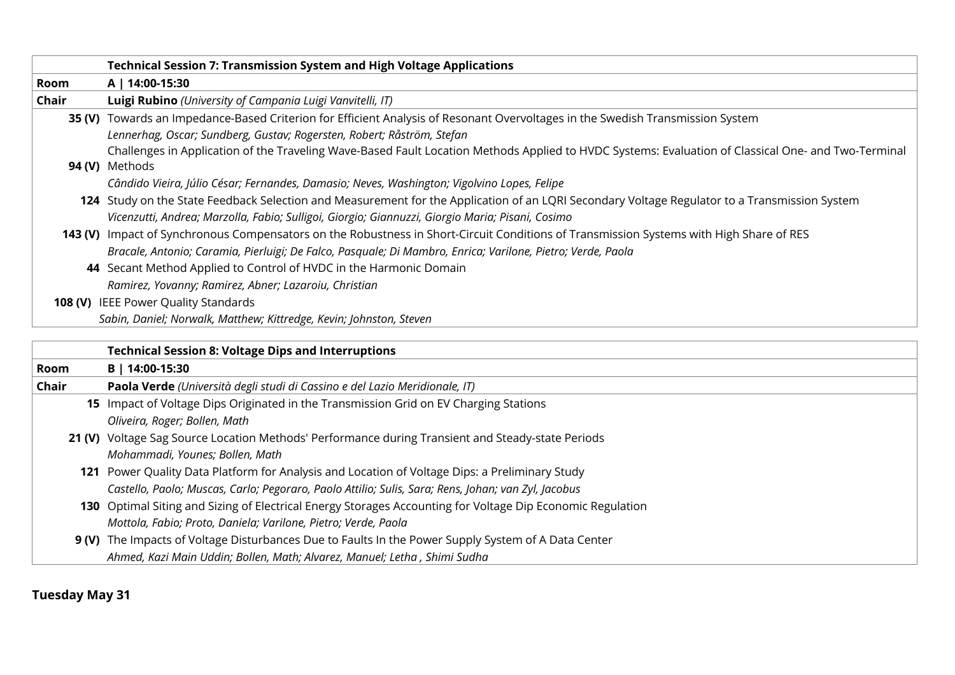|             | <b>Technical Session 7: Transmission System and High Voltage Applications</b>                                                                       |
|-------------|-----------------------------------------------------------------------------------------------------------------------------------------------------|
| Room        | A   14:00-15:30                                                                                                                                     |
| Chair       | Luigi Rubino (University of Campania Luigi Vanvitelli, IT)                                                                                          |
|             | 35 (V) Towards an Impedance-Based Criterion for Efficient Analysis of Resonant Overvoltages in the Swedish Transmission System                      |
|             | Lennerhag, Oscar; Sundberg, Gustav; Rogersten, Robert; Råström, Stefan                                                                              |
|             | Challenges in Application of the Traveling Wave-Based Fault Location Methods Applied to HVDC Systems: Evaluation of Classical One- and Two-Terminal |
|             | 94 (V) Methods                                                                                                                                      |
|             | Cândido Vieira, Júlio César; Fernandes, Damasio; Neves, Washington; Vigolvino Lopes, Felipe                                                         |
|             | 124 Study on the State Feedback Selection and Measurement for the Application of an LQRI Secondary Voltage Regulator to a Transmission System       |
|             | Vicenzutti, Andrea; Marzolla, Fabio; Sulligoi, Giorgio; Giannuzzi, Giorgio Maria; Pisani, Cosimo                                                    |
|             | 143 (V) Impact of Synchronous Compensators on the Robustness in Short-Circuit Conditions of Transmission Systems with High Share of RES             |
|             | Bracale, Antonio; Caramia, Pierluigi; De Falco, Pasquale; Di Mambro, Enrica; Varilone, Pietro; Verde, Paola                                         |
|             | 44 Secant Method Applied to Control of HVDC in the Harmonic Domain                                                                                  |
|             | Ramirez, Yovanny; Ramirez, Abner; Lazaroiu, Christian                                                                                               |
|             | 108 (V) IEEE Power Quality Standards                                                                                                                |
|             | Sabin, Daniel; Norwalk, Matthew; Kittredge, Kevin; Johnston, Steven                                                                                 |
|             | <b>Technical Session 8: Voltage Dips and Interruptions</b>                                                                                          |
| <b>Room</b> | B   14:00-15:30                                                                                                                                     |
| Chair       | Paola Verde (Università degli studi di Cassino e del Lazio Meridionale, IT)                                                                         |
|             | 15 Impact of Voltage Dips Originated in the Transmission Grid on EV Charging Stations                                                               |
|             | Oliveira, Roger; Bollen, Math                                                                                                                       |
|             | 21 (V) Voltage Sag Source Location Methods' Performance during Transient and Steady-state Periods                                                   |
|             | Mohammadi, Younes; Bollen, Math                                                                                                                     |

- **121** Power Quality Data Platform for Analysis and Location of Voltage Dips: a Preliminary Study *Castello, Paolo; Muscas, Carlo; Pegoraro, Paolo Attilio; Sulis, Sara; Rens, Johan; van Zyl, Jacobus*
- **130** Optimal Siting and Sizing of Electrical Energy Storages Accounting for Voltage Dip Economic Regulation *Mottola, Fabio; Proto, Daniela; Varilone, Pietro; Verde, Paola*

## **9 (V)** The Impacts of Voltage Disturbances Due to Faults In the Power Supply System of A Data Center *Ahmed, Kazi Main Uddin; Bollen, Math; Alvarez, Manuel; Letha , Shimi Sudha*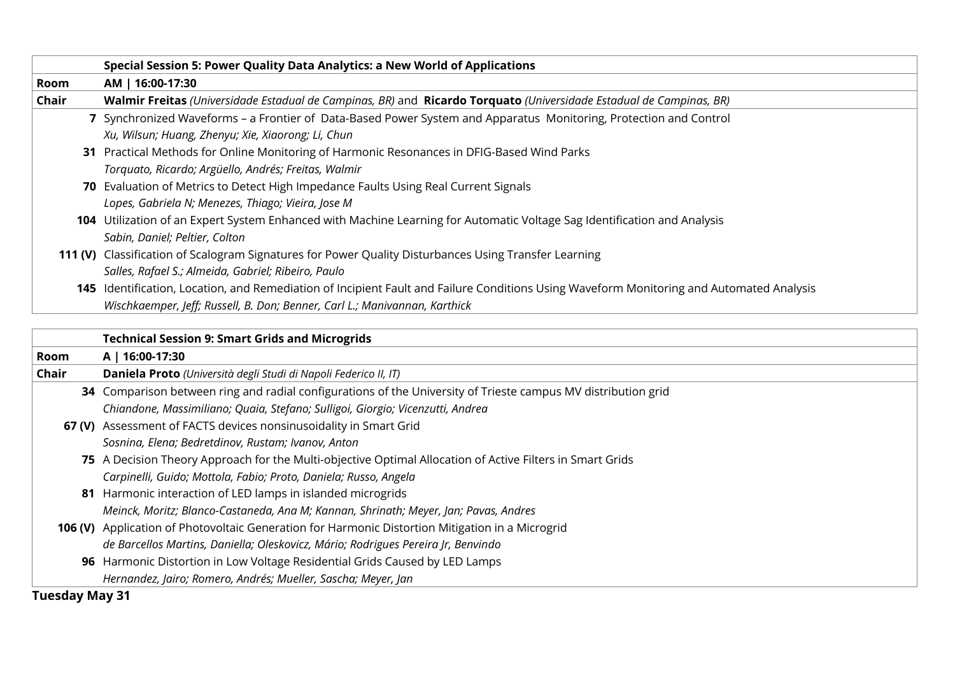|       | Special Session 5: Power Quality Data Analytics: a New World of Applications                                                             |
|-------|------------------------------------------------------------------------------------------------------------------------------------------|
| Room  | AM   16:00-17:30                                                                                                                         |
| Chair | Walmir Freitas (Universidade Estadual de Campinas, BR) and Ricardo Torquato (Universidade Estadual de Campinas, BR)                      |
|       | 7 Synchronized Waveforms - a Frontier of Data-Based Power System and Apparatus Monitoring, Protection and Control                        |
|       | Xu, Wilsun; Huang, Zhenyu; Xie, Xiaorong; Li, Chun                                                                                       |
|       | 31 Practical Methods for Online Monitoring of Harmonic Resonances in DFIG-Based Wind Parks                                               |
|       | Torquato, Ricardo; Argüello, Andrés; Freitas, Walmir                                                                                     |
|       | 70 Evaluation of Metrics to Detect High Impedance Faults Using Real Current Signals                                                      |
|       | Lopes, Gabriela N; Menezes, Thiago; Vieira, Jose M                                                                                       |
|       | 104 Utilization of an Expert System Enhanced with Machine Learning for Automatic Voltage Sag Identification and Analysis                 |
|       | Sabin, Daniel; Peltier, Colton                                                                                                           |
|       | 111 (V) Classification of Scalogram Signatures for Power Quality Disturbances Using Transfer Learning                                    |
|       | Salles, Rafael S.; Almeida, Gabriel; Ribeiro, Paulo                                                                                      |
|       | 145 Identification, Location, and Remediation of Incipient Fault and Failure Conditions Using Waveform Monitoring and Automated Analysis |
|       | Wischkaemper, Jeff; Russell, B. Don; Benner, Carl L.; Manivannan, Karthick                                                               |
|       |                                                                                                                                          |
|       | <b>Technical Session 9: Smart Grids and Microgrids</b>                                                                                   |

|       | Technical Session 9: Smart Grids and Microgrids                                                               |
|-------|---------------------------------------------------------------------------------------------------------------|
| Room  | A   16:00-17:30                                                                                               |
| Chair | Daniela Proto (Università degli Studi di Napoli Federico II, IT)                                              |
|       | 34 Comparison between ring and radial configurations of the University of Trieste campus MV distribution grid |
|       | Chiandone, Massimiliano; Quaia, Stefano; Sulligoi, Giorgio; Vicenzutti, Andrea                                |
|       | 67 (V) Assessment of FACTS devices nonsinusoidality in Smart Grid                                             |
|       | Sosnina, Elena; Bedretdinov, Rustam; Ivanov, Anton                                                            |
|       | 75 A Decision Theory Approach for the Multi-objective Optimal Allocation of Active Filters in Smart Grids     |
|       | Carpinelli, Guido; Mottola, Fabio; Proto, Daniela; Russo, Angela                                              |
|       | 81 Harmonic interaction of LED lamps in islanded microgrids                                                   |
|       | Meinck, Moritz; Blanco-Castaneda, Ana M; Kannan, Shrinath; Meyer, Jan; Pavas, Andres                          |
|       | 106 (V) Application of Photovoltaic Generation for Harmonic Distortion Mitigation in a Microgrid              |
|       | de Barcellos Martins, Daniella; Oleskovicz, Mário; Rodrigues Pereira Jr, Benvindo                             |
|       | 96 Harmonic Distortion in Low Voltage Residential Grids Caused by LED Lamps                                   |
|       | Hernandez, Jairo; Romero, Andrés; Mueller, Sascha; Meyer, Jan                                                 |
|       |                                                                                                               |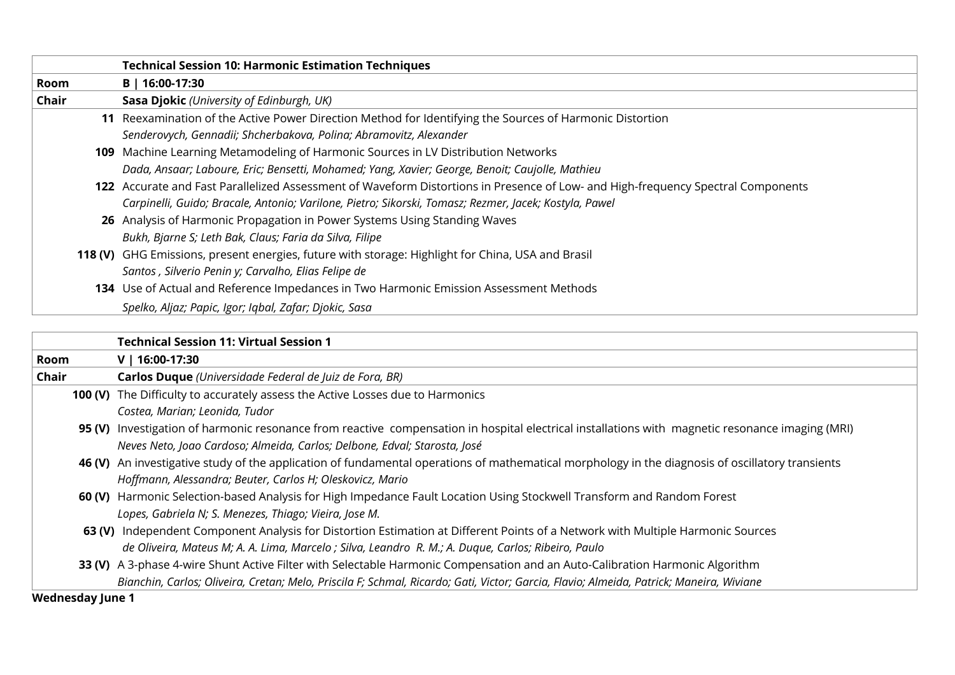|             | <b>Technical Session 10: Harmonic Estimation Techniques</b>                                                                      |
|-------------|----------------------------------------------------------------------------------------------------------------------------------|
| <b>Room</b> | B   16:00-17:30                                                                                                                  |
| Chair       | Sasa Djokic (University of Edinburgh, UK)                                                                                        |
|             | 11 Reexamination of the Active Power Direction Method for Identifying the Sources of Harmonic Distortion                         |
|             | Senderovych, Gennadii; Shcherbakova, Polina; Abramovitz, Alexander                                                               |
|             | 109 Machine Learning Metamodeling of Harmonic Sources in LV Distribution Networks                                                |
|             | Dada, Ansaar; Laboure, Eric; Bensetti, Mohamed; Yang, Xavier; George, Benoit; Caujolle, Mathieu                                  |
|             | 122 Accurate and Fast Parallelized Assessment of Waveform Distortions in Presence of Low- and High-frequency Spectral Components |
|             | Carpinelli, Guido; Bracale, Antonio; Varilone, Pietro; Sikorski, Tomasz; Rezmer, Jacek; Kostyla, Pawel                           |
|             | 26 Analysis of Harmonic Propagation in Power Systems Using Standing Waves                                                        |
|             | Bukh, Bjarne S; Leth Bak, Claus; Faria da Silva, Filipe                                                                          |
|             | 118 (V) GHG Emissions, present energies, future with storage: Highlight for China, USA and Brasil                                |
|             | Santos, Silverio Penin y; Carvalho, Elias Felipe de                                                                              |
|             | 134 Use of Actual and Reference Impedances in Two Harmonic Emission Assessment Methods                                           |
|             | Spelko, Aljaz; Papic, Igor; Iqbal, Zafar; Djokic, Sasa                                                                           |

|                         | Technical Session 11: Virtual Session 1                                                                                                          |
|-------------------------|--------------------------------------------------------------------------------------------------------------------------------------------------|
| <b>Room</b>             | $V$   16:00-17:30                                                                                                                                |
| Chair                   | Carlos Duque (Universidade Federal de Juiz de Fora, BR)                                                                                          |
|                         | 100 (V) The Difficulty to accurately assess the Active Losses due to Harmonics                                                                   |
|                         | Costea, Marian; Leonida, Tudor                                                                                                                   |
|                         | 95 (V) Investigation of harmonic resonance from reactive compensation in hospital electrical installations with magnetic resonance imaging (MRI) |
|                         | Neves Neto, Joao Cardoso; Almeida, Carlos; Delbone, Edval; Starosta, José                                                                        |
|                         | 46 (V) An investigative study of the application of fundamental operations of mathematical morphology in the diagnosis of oscillatory transients |
|                         | Hoffmann, Alessandra; Beuter, Carlos H; Oleskovicz, Mario                                                                                        |
|                         | 60 (V) Harmonic Selection-based Analysis for High Impedance Fault Location Using Stockwell Transform and Random Forest                           |
|                         | Lopes, Gabriela N; S. Menezes, Thiago; Vieira, Jose M.                                                                                           |
|                         | 63 (V) Independent Component Analysis for Distortion Estimation at Different Points of a Network with Multiple Harmonic Sources                  |
|                         | de Oliveira, Mateus M; A. A. Lima, Marcelo ; Silva, Leandro R. M.; A. Duque, Carlos; Ribeiro, Paulo                                              |
|                         | 33 (V) A 3-phase 4-wire Shunt Active Filter with Selectable Harmonic Compensation and an Auto-Calibration Harmonic Algorithm                     |
|                         | Bianchin, Carlos; Oliveira, Cretan; Melo, Priscila F; Schmal, Ricardo; Gati, Victor; Garcia, Flavio; Almeida, Patrick; Maneira, Wiviane          |
| <b>Wednesday June 1</b> |                                                                                                                                                  |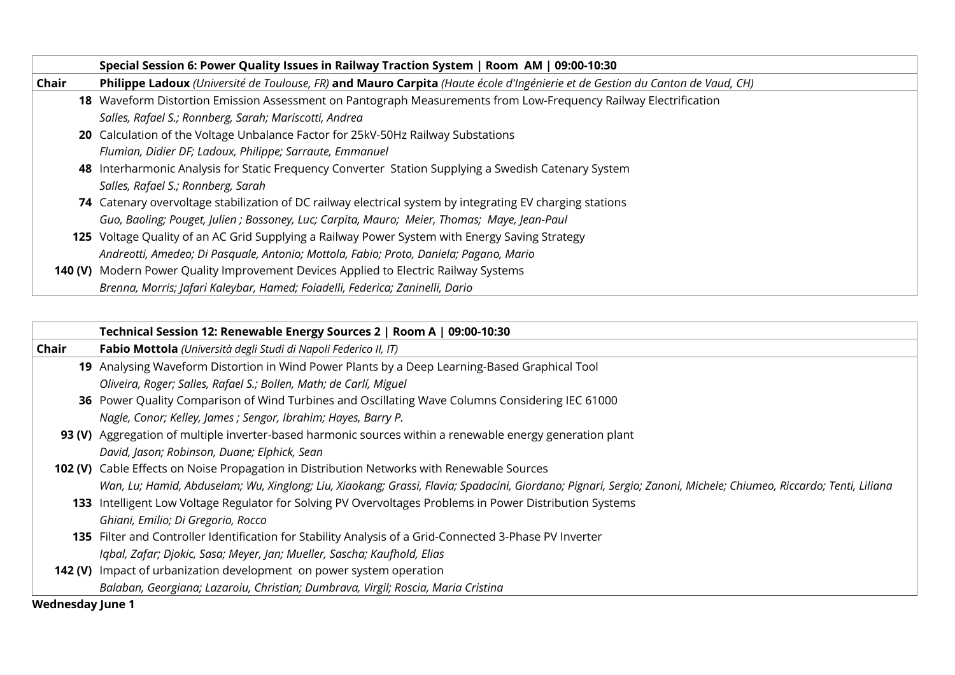|       | Special Session 6: Power Quality Issues in Railway Traction System   Room AM   09:00-10:30                                    |
|-------|-------------------------------------------------------------------------------------------------------------------------------|
| Chair | Philippe Ladoux (Université de Toulouse, FR) and Mauro Carpita (Haute école d'Ingénierie et de Gestion du Canton de Vaud, CH) |
|       | 18 Waveform Distortion Emission Assessment on Pantograph Measurements from Low-Frequency Railway Electrification              |
|       | Salles, Rafael S.; Ronnberg, Sarah; Mariscotti, Andrea                                                                        |
|       | 20 Calculation of the Voltage Unbalance Factor for 25kV-50Hz Railway Substations                                              |
|       | Flumian, Didier DF; Ladoux, Philippe; Sarraute, Emmanuel                                                                      |
|       | 48 Interharmonic Analysis for Static Frequency Converter Station Supplying a Swedish Catenary System                          |
|       | Salles, Rafael S.; Ronnberg, Sarah                                                                                            |
|       | 74 Catenary overvoltage stabilization of DC railway electrical system by integrating EV charging stations                     |
|       | Guo, Baoling; Pouget, Julien ; Bossoney, Luc; Carpita, Mauro; Meier, Thomas; Maye, Jean-Paul                                  |
|       | 125 Voltage Quality of an AC Grid Supplying a Railway Power System with Energy Saving Strategy                                |
|       | Andreotti, Amedeo; Di Pasquale, Antonio; Mottola, Fabio; Proto, Daniela; Pagano, Mario                                        |
|       | 140 (V) Modern Power Quality Improvement Devices Applied to Electric Railway Systems                                          |
|       | Brenna, Morris; Jafari Kaleybar, Hamed; Foiadelli, Federica; Zaninelli, Dario                                                 |

|                                    | Technical Session 12: Renewable Energy Sources 2   Room A   09:00-10:30                                                                                          |
|------------------------------------|------------------------------------------------------------------------------------------------------------------------------------------------------------------|
| Chair                              | Fabio Mottola (Università degli Studi di Napoli Federico II, IT)                                                                                                 |
|                                    | 19 Analysing Waveform Distortion in Wind Power Plants by a Deep Learning-Based Graphical Tool                                                                    |
|                                    | Oliveira, Roger; Salles, Rafael S.; Bollen, Math; de Carlí, Miguel                                                                                               |
|                                    | 36 Power Quality Comparison of Wind Turbines and Oscillating Wave Columns Considering IEC 61000                                                                  |
|                                    | Nagle, Conor; Kelley, James ; Sengor, Ibrahim; Hayes, Barry P.                                                                                                   |
|                                    | 93 (V) Aggregation of multiple inverter-based harmonic sources within a renewable energy generation plant                                                        |
|                                    | David, Jason; Robinson, Duane; Elphick, Sean                                                                                                                     |
|                                    | 102 (V) Cable Effects on Noise Propagation in Distribution Networks with Renewable Sources                                                                       |
|                                    | Wan, Lu; Hamid, Abduselam; Wu, Xinglong; Liu, Xiaokang; Grassi, Flavia; Spadacini, Giordano; Pignari, Sergio; Zanoni, Michele; Chiumeo, Riccardo; Tenti, Liliana |
|                                    | 133 Intelligent Low Voltage Regulator for Solving PV Overvoltages Problems in Power Distribution Systems                                                         |
|                                    | Ghiani, Emilio; Di Gregorio, Rocco                                                                                                                               |
|                                    | 135 Filter and Controller Identification for Stability Analysis of a Grid-Connected 3-Phase PV Inverter                                                          |
|                                    | Iqbal, Zafar; Djokic, Sasa; Meyer, Jan; Mueller, Sascha; Kaufhold, Elias                                                                                         |
|                                    | 142 (V) Impact of urbanization development on power system operation                                                                                             |
|                                    | Balaban, Georgiana; Lazaroiu, Christian; Dumbrava, Virgil; Roscia, Maria Cristina                                                                                |
| المتمدين المتمام والمتمام والمتعال |                                                                                                                                                                  |

**Wednesday June 1**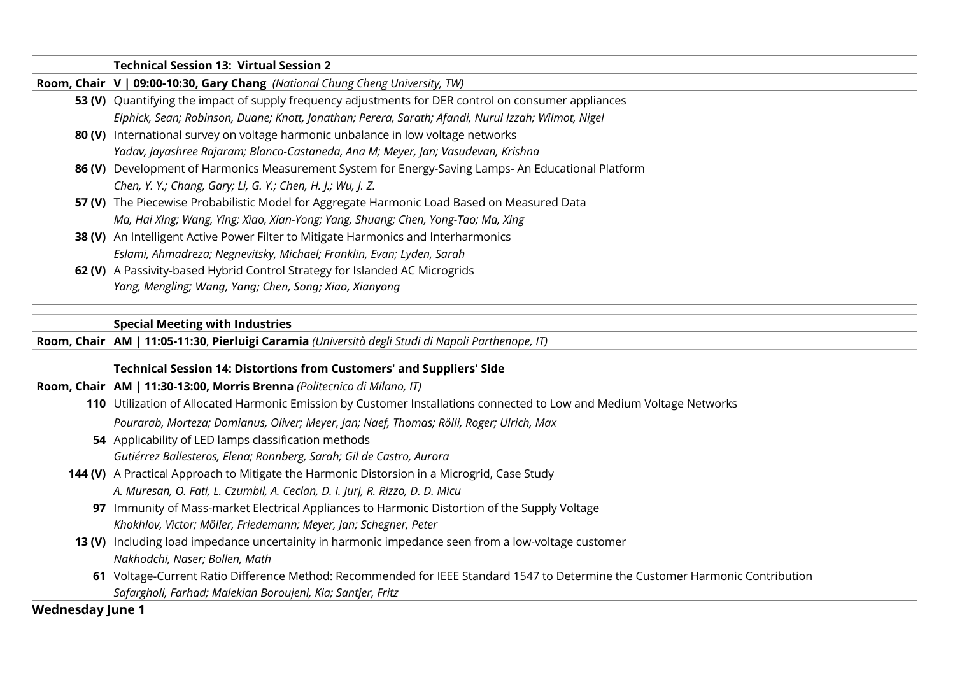| <b>Technical Session 13: Virtual Session 2</b>                                                       |
|------------------------------------------------------------------------------------------------------|
| Room, Chair V   09:00-10:30, Gary Chang (National Chung Cheng University, TW)                        |
| 53 (V) Quantifying the impact of supply frequency adjustments for DER control on consumer appliances |
| Elphick, Sean; Robinson, Duane; Knott, Jonathan; Perera, Sarath; Afandi, Nurul Izzah; Wilmot, Nigel  |
| 80 (V) International survey on voltage harmonic unbalance in low voltage networks                    |
| Yadav, Jayashree Rajaram; Blanco-Castaneda, Ana M; Meyer, Jan; Vasudevan, Krishna                    |
| 86 (V) Development of Harmonics Measurement System for Energy-Saving Lamps- An Educational Platform  |
| Chen, Y. Y.; Chang, Gary; Li, G. Y.; Chen, H. J.; Wu, J. Z.                                          |
| 57 (V) The Piecewise Probabilistic Model for Aggregate Harmonic Load Based on Measured Data          |
| Ma, Hai Xing; Wang, Ying; Xiao, Xian-Yong; Yang, Shuang; Chen, Yong-Tao; Ma, Xing                    |
| 38 (V) An Intelligent Active Power Filter to Mitigate Harmonics and Interharmonics                   |
| Eslami, Ahmadreza; Negnevitsky, Michael; Franklin, Evan; Lyden, Sarah                                |
| 62 (V) A Passivity-based Hybrid Control Strategy for Islanded AC Microgrids                          |
| Yang, Mengling; Wang, Yang; Chen, Song; Xiao, Xianyong                                               |
|                                                                                                      |

### **Special Meeting with Industries**

**Room, Chair AM | 11:05-11:30**, **Pierluigi Caramia** *(Università degli Studi di Napoli Parthenope, IT)*

#### **Technical Session 14: Distortions from Customers' and Suppliers' Side**

**Room, Chair AM | 11:30-13:00, Morris Brenna** *(Politecnico di Milano, IT)*

**110** Utilization of Allocated Harmonic Emission by Customer Installations connected to Low and Medium Voltage Networks

*Pourarab, Morteza; Domianus, Oliver; Meyer, Jan; Naef, Thomas; Rölli, Roger; Ulrich, Max* 

- **54** Applicability of LED lamps classification methods *Gutiérrez Ballesteros, Elena; Ronnberg, Sarah; Gil de Castro, Aurora*
- **144 (V)** A Practical Approach to Mitigate the Harmonic Distorsion in a Microgrid, Case Study

*A. Muresan, O. Fati, L. Czumbil, A. Ceclan, D. I. Jurj, R. Rizzo, D. D. Micu*

**97** Immunity of Mass-market Electrical Appliances to Harmonic Distortion of the Supply Voltage *Khokhlov, Victor; Möller, Friedemann; Meyer, Jan; Schegner, Peter*

## **13 (V)** Including load impedance uncertainity in harmonic impedance seen from a low-voltage customer *Nakhodchi, Naser; Bollen, Math*

**61** Voltage-Current Ratio Difference Method: Recommended for IEEE Standard 1547 to Determine the Customer Harmonic Contribution *Safargholi, Farhad; Malekian Boroujeni, Kia; Santjer, Fritz*

**Wednesday June 1**